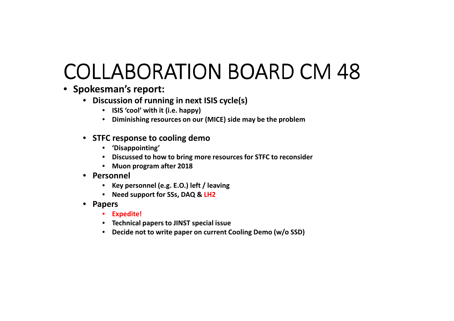# COLLABORATION BOARD CM 48

- **Spokesman's report:**
	- **Discussion of running in next ISIS cycle(s)**
		- **ISIS 'cool' with it (i.e. happy)**
		- **Diminishing resources on our (MICE) side may be the problem**
	- **STFC response to cooling demo**
		- **'Disappointing'**
		- **Discussed to how to bring more resources for STFC to reconsider**
		- **Muon program after 2018**
	- **Personnel**
		- **Key personnel (e.g. E.O.) left / leaving**
		- **Need support for SSs, DAQ & LH2**
	- **Papers**
		- **Expedite!**
		- **Technical papers to JINST special issue**
		- **Decide not to write paper on current Cooling Demo (w/o SSD)**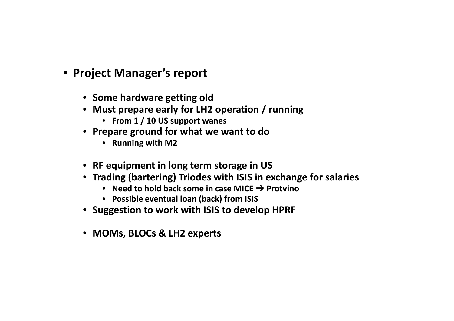- **Project Manager's report**
	- **Some hardware getting old**
	- **Must prepare early for LH2 operation / running**
		- **From 1 / 10 US support wanes**
	- **Prepare ground for what we want to do**
		- **Running with M2**
	- **RF equipment in long term storage in US**
	- **Trading (bartering) Triodes with ISIS in exchange for salaries**
		- Need to hold back some in case MICE → Protvino<br>● Possible eventual loan (back) from ISIS
		- **Possible eventual loan (back) from ISIS**
	- **Suggestion to work with ISIS to develop HPRF**
	- **MOMs, BLOCs & LH2 experts**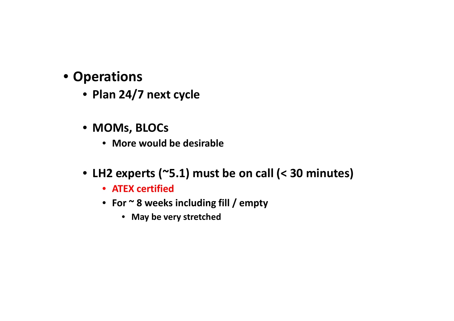#### • **Operations**

- **Plan 24/7 next cycle**
- **MOMs, BLOCs** 
	- **More would be desirable**
- **LH2 experts (~5.1) must be on call (< 30 minutes)**
	- **ATEX certified**
	- **For ~ 8 weeks including fill / empty**
		- **May be very stretched**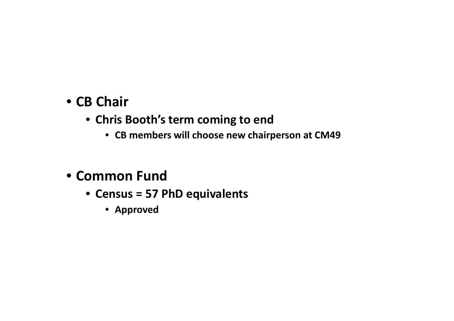### • **CB Chair**

- **Chris Booth's term coming to end**
	- **CB members will choose new chairperson at CM49**

## • **Common Fund**

- **Census = 57 PhD equivalents**
	- **Approved**